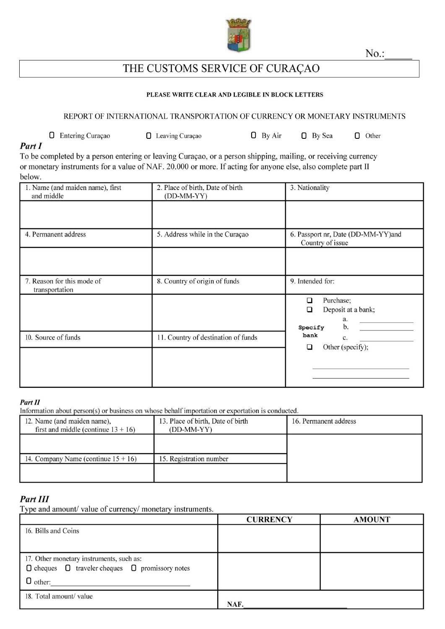

 $No.$ :

# THE CUSTOMS SERVICE OF CURAÇAO

### PLEASE WRITE CLEAR AND LEGIBLE IN BLOCK LETTERS

### REPORT OF INTERNATIONAL TRANSPORTATION OF CURRENCY OR MONETARY INSTRUMENTS

**D** Entering Curaçao □ Leaving Curaçao  $\Box$  By Air D By Sea  $\Box$  Other

### Part I

To be completed by a person entering or leaving Curaçao, or a person shipping, mailing, or receiving currency or monetary instruments for a value of NAF. 20.000 or more. If acting for anyone else, also complete part II below.

| 1. Name (and maiden name), first<br>and middle | 2. Place of birth, Date of birth<br>$(DD-MM-YY)$ | 3. Nationality                                                   |
|------------------------------------------------|--------------------------------------------------|------------------------------------------------------------------|
|                                                |                                                  |                                                                  |
| 4. Permanent address                           | 5. Address while in the Curaçao                  | 6. Passport nr, Date (DD-MM-YY)and<br>Country of issue           |
|                                                |                                                  |                                                                  |
| 7. Reason for this mode of<br>transportation   | 8. Country of origin of funds                    | 9. Intended for:                                                 |
|                                                |                                                  | Purchase;<br>□<br>Deposit at a bank;<br>□<br>a.<br>b.<br>Specify |
| 10. Source of funds                            | 11. Country of destination of funds              | bank<br>c.<br>Other (specify);<br>□                              |
|                                                |                                                  |                                                                  |

### Part II

Information about person(s) or business on whose behalf importation or exportation is conducted.

| 12. Name (and maiden name),<br>first and middle (continue $13 + 16$ ) | 13. Place of birth, Date of birth<br>$(DD-MM-YY)$ | 16. Permanent address |
|-----------------------------------------------------------------------|---------------------------------------------------|-----------------------|
|                                                                       |                                                   |                       |
| 14. Company Name (continue $15 + 16$ )                                | 15. Registration number                           |                       |
|                                                                       |                                                   |                       |

# Part III

Type and amount/value of currency/monetary instruments.

|                                                                | <b>CURRENCY</b> | <b>AMOUNT</b> |
|----------------------------------------------------------------|-----------------|---------------|
| 16. Bills and Coins                                            |                 |               |
|                                                                |                 |               |
|                                                                |                 |               |
| 17. Other monetary instruments, such as:                       |                 |               |
| $\Box$ cheques $\Box$ traveler cheques $\Box$ promissory notes |                 |               |
| $\Box$ other:                                                  |                 |               |
| 18. Total amount/ value                                        |                 |               |
|                                                                | NAF.            |               |